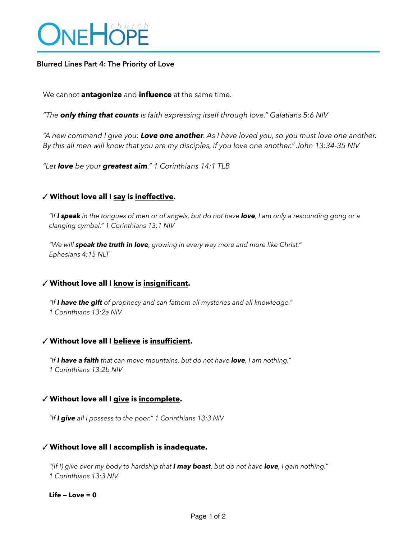# **DNEHOPE**

## **Blurred Lines Part 4: The Priority of Love**

We cannot **antagonize** and **influence** at the same time.

*"The only thing that counts is faith expressing itself through love." Galatians 5:6 NIV* 

*"A new command I give you: Love one another. As I have loved you, so you must love one another. By this all men will know that you are my disciples, if you love one another." John 13:34-35 NIV* 

*"Let love be your greatest aim." 1 Corinthians 14:1 TLB* 

### ✓ **Without love all I say is ineffective.**

*"If I speak in the tongues of men or of angels, but do not have love, I am only a resounding gong or a clanging cymbal." 1 Corinthians 13:1 NIV* 

*"We will speak the truth in love, growing in every way more and more like Christ." Ephesians 4:15 NLT* 

## ✓ **Without love all I know is insignificant.**

*"If I have the gift of prophecy and can fathom all mysteries and all knowledge." 1 Corinthians 13:2a NIV* 

## ✓ **Without love all I believe is insufficient.**

*"If I have a faith that can move mountains, but do not have love, I am nothing." 1 Corinthians 13:2b NIV* 

#### ✓ **Without love all I give is incomplete.**

*"If I give all I possess to the poor." 1 Corinthians 13:3 NIV* 

#### ✓ **Without love all I accomplish is inadequate.**

*"(If I) give over my body to hardship that I may boast, but do not have love, I gain nothing." 1 Corinthians 13:3 NIV* 

**Life — Love = 0**